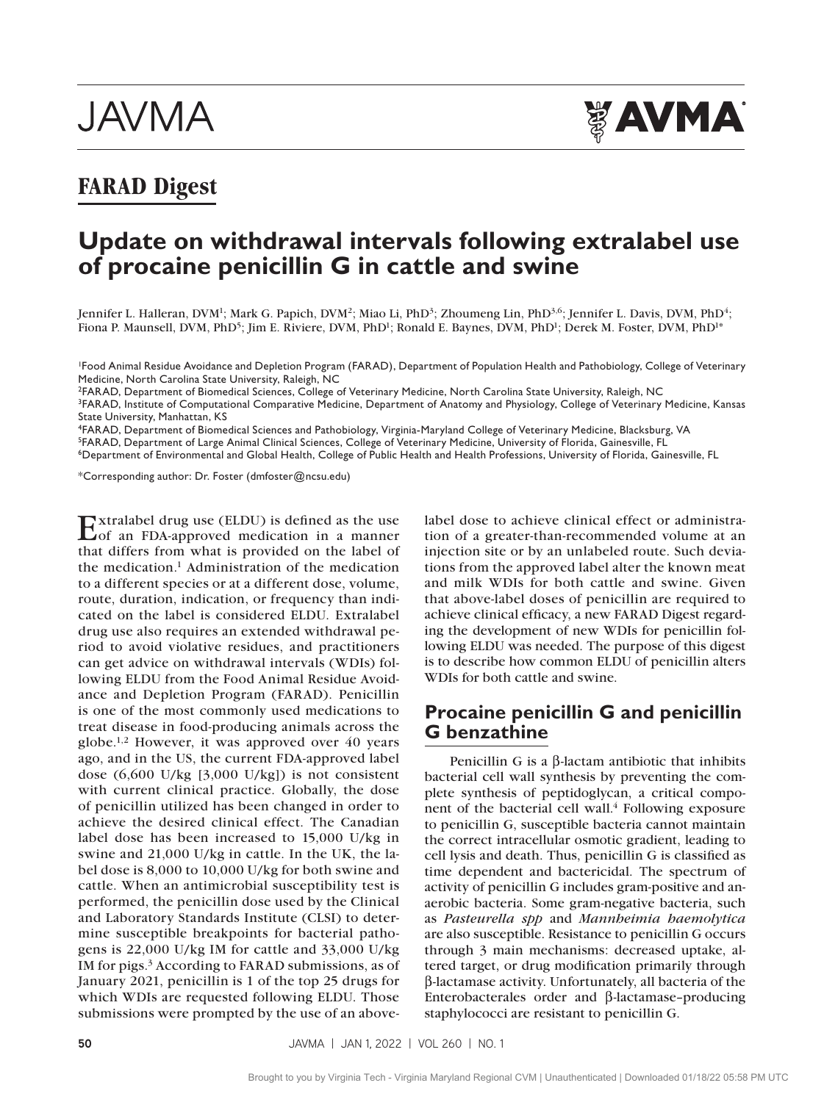# **JAVMA**



# **FARAD Digest**

# **Update on withdrawal intervals following extralabel use of procaine penicillin G in cattle and swine**

Jennifer L. Halleran, DVM<sup>1</sup>; Mark G. Papich, DVM<sup>2</sup>; Miao Li, PhD<sup>3</sup>; Zhoumeng Lin, PhD<sup>3,6</sup>; Jennifer L. Davis, DVM, PhD<sup>4</sup>; Fiona P. Maunsell, DVM, PhD<sup>5</sup>; Jim E. Riviere, DVM, PhD<sup>1</sup>; Ronald E. Baynes, DVM, PhD<sup>1</sup>; Derek M. Foster, DVM, PhD<sup>1\*</sup>

1Food Animal Residue Avoidance and Depletion Program (FARAD), Department of Population Health and Pathobiology, College of Veterinary Medicine, North Carolina State University, Raleigh, NC

2FARAD, Department of Biomedical Sciences, College of Veterinary Medicine, North Carolina State University, Raleigh, NC

3FARAD, Institute of Computational Comparative Medicine, Department of Anatomy and Physiology, College of Veterinary Medicine, Kansas State University, Manhattan, KS

4FARAD, Department of Biomedical Sciences and Pathobiology, Virginia-Maryland College of Veterinary Medicine, Blacksburg, VA

5FARAD, Department of Large Animal Clinical Sciences, College of Veterinary Medicine, University of Florida, Gainesville, FL

6Department of Environmental and Global Health, College of Public Health and Health Professions, University of Florida, Gainesville, FL

\*Corresponding author: Dr. Foster ([dmfoster@ncsu.edu](mailto:dmfoster@ncsu.edu))

Extralabel drug use (ELDU) is defined as the use of an FDA-approved medication in a manner that differs from what is provided on the label of the medication.1 Administration of the medication to a different species or at a different dose, volume, route, duration, indication, or frequency than indicated on the label is considered ELDU. Extralabel drug use also requires an extended withdrawal period to avoid violative residues, and practitioners can get advice on withdrawal intervals (WDIs) following ELDU from the Food Animal Residue Avoidance and Depletion Program (FARAD). Penicillin is one of the most commonly used medications to treat disease in food-producing animals across the globe.1,2 However, it was approved over 40 years ago, and in the US, the current FDA-approved label dose (6,600 U/kg [3,000 U/kg]) is not consistent with current clinical practice. Globally, the dose of penicillin utilized has been changed in order to achieve the desired clinical effect. The Canadian label dose has been increased to 15,000 U/kg in swine and 21,000 U/kg in cattle. In the UK, the label dose is 8,000 to 10,000 U/kg for both swine and cattle. When an antimicrobial susceptibility test is performed, the penicillin dose used by the Clinical and Laboratory Standards Institute (CLSI) to determine susceptible breakpoints for bacterial pathogens is 22,000 U/kg IM for cattle and 33,000 U/kg IM for pigs.3 According to FARAD submissions, as of January 2021, penicillin is 1 of the top 25 drugs for which WDIs are requested following ELDU. Those submissions were prompted by the use of an above-

label dose to achieve clinical effect or administration of a greater-than-recommended volume at an injection site or by an unlabeled route. Such deviations from the approved label alter the known meat and milk WDIs for both cattle and swine. Given that above-label doses of penicillin are required to achieve clinical efficacy, a new FARAD Digest regarding the development of new WDIs for penicillin following ELDU was needed. The purpose of this digest is to describe how common ELDU of penicillin alters WDIs for both cattle and swine.

## **Procaine penicillin G and penicillin G benzathine**

Penicillin G is a  $β$ -lactam antibiotic that inhibits bacterial cell wall synthesis by preventing the complete synthesis of peptidoglycan, a critical component of the bacterial cell wall.<sup>4</sup> Following exposure to penicillin G, susceptible bacteria cannot maintain the correct intracellular osmotic gradient, leading to cell lysis and death. Thus, penicillin G is classified as time dependent and bactericidal. The spectrum of activity of penicillin G includes gram-positive and anaerobic bacteria. Some gram-negative bacteria, such as *Pasteurella spp* and *Mannheimia haemolytica* are also susceptible. Resistance to penicillin G occurs through 3 main mechanisms: decreased uptake, altered target, or drug modification primarily through β-lactamase activity. Unfortunately, all bacteria of the Enterobacterales order and β-lactamase–producing staphylococci are resistant to penicillin G.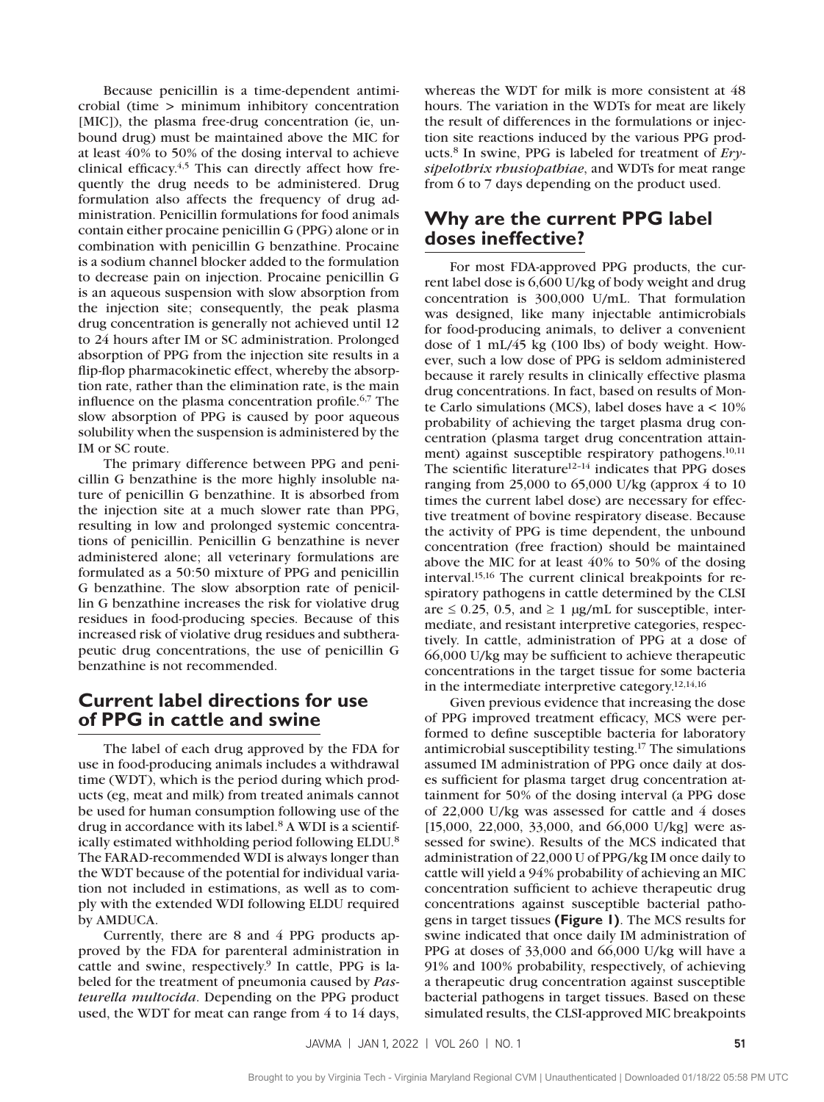Because penicillin is a time-dependent antimicrobial (time > minimum inhibitory concentration [MIC]), the plasma free-drug concentration (ie, unbound drug) must be maintained above the MIC for at least 40% to 50% of the dosing interval to achieve clinical efficacy.4,5 This can directly affect how frequently the drug needs to be administered. Drug formulation also affects the frequency of drug administration. Penicillin formulations for food animals contain either procaine penicillin G (PPG) alone or in combination with penicillin G benzathine. Procaine is a sodium channel blocker added to the formulation to decrease pain on injection. Procaine penicillin G is an aqueous suspension with slow absorption from the injection site; consequently, the peak plasma drug concentration is generally not achieved until 12 to 24 hours after IM or SC administration. Prolonged absorption of PPG from the injection site results in a flip-flop pharmacokinetic effect, whereby the absorption rate, rather than the elimination rate, is the main influence on the plasma concentration profile.<sup>6,7</sup> The slow absorption of PPG is caused by poor aqueous solubility when the suspension is administered by the IM or SC route.

The primary difference between PPG and penicillin G benzathine is the more highly insoluble nature of penicillin G benzathine. It is absorbed from the injection site at a much slower rate than PPG, resulting in low and prolonged systemic concentrations of penicillin. Penicillin G benzathine is never administered alone; all veterinary formulations are formulated as a 50:50 mixture of PPG and penicillin G benzathine. The slow absorption rate of penicillin G benzathine increases the risk for violative drug residues in food-producing species. Because of this increased risk of violative drug residues and subtherapeutic drug concentrations, the use of penicillin G benzathine is not recommended.

## **Current label directions for use of PPG in cattle and swine**

The label of each drug approved by the FDA for use in food-producing animals includes a withdrawal time (WDT), which is the period during which products (eg, meat and milk) from treated animals cannot be used for human consumption following use of the drug in accordance with its label.<sup>8</sup> A WDI is a scientifically estimated withholding period following ELDU.8 The FARAD-recommended WDI is always longer than the WDT because of the potential for individual variation not included in estimations, as well as to comply with the extended WDI following ELDU required by AMDUCA.

Currently, there are 8 and 4 PPG products approved by the FDA for parenteral administration in cattle and swine, respectively.<sup>9</sup> In cattle, PPG is labeled for the treatment of pneumonia caused by *Pasteurella multocida*. Depending on the PPG product used, the WDT for meat can range from 4 to 14 days,

whereas the WDT for milk is more consistent at 48 hours. The variation in the WDTs for meat are likely the result of differences in the formulations or injection site reactions induced by the various PPG products.8 In swine, PPG is labeled for treatment of *Erysipelothrix rhusiopathiae*, and WDTs for meat range from 6 to 7 days depending on the product used.

# **Why are the current PPG label doses ineffective?**

For most FDA-approved PPG products, the current label dose is 6,600 U/kg of body weight and drug concentration is 300,000 U/mL. That formulation was designed, like many injectable antimicrobials for food-producing animals, to deliver a convenient dose of 1 mL/45 kg (100 lbs) of body weight. However, such a low dose of PPG is seldom administered because it rarely results in clinically effective plasma drug concentrations. In fact, based on results of Monte Carlo simulations (MCS), label doses have a < 10% probability of achieving the target plasma drug concentration (plasma target drug concentration attainment) against susceptible respiratory pathogens.<sup>10,11</sup> The scientific literature $12-14$  indicates that PPG doses ranging from 25,000 to  $65,000$  U/kg (approx 4 to 10 times the current label dose) are necessary for effective treatment of bovine respiratory disease. Because the activity of PPG is time dependent, the unbound concentration (free fraction) should be maintained above the MIC for at least 40% to 50% of the dosing interval.15,16 The current clinical breakpoints for respiratory pathogens in cattle determined by the CLSI are  $\leq$  0.25, 0.5, and  $\geq$  1 µg/mL for susceptible, intermediate, and resistant interpretive categories, respectively. In cattle, administration of PPG at a dose of 66,000 U/kg may be sufficient to achieve therapeutic concentrations in the target tissue for some bacteria in the intermediate interpretive category.12,14,16

Given previous evidence that increasing the dose of PPG improved treatment efficacy, MCS were performed to define susceptible bacteria for laboratory antimicrobial susceptibility testing.17 The simulations assumed IM administration of PPG once daily at doses sufficient for plasma target drug concentration attainment for 50% of the dosing interval (a PPG dose of 22,000 U/kg was assessed for cattle and 4 doses [15,000, 22,000, 33,000, and 66,000 U/kg] were assessed for swine). Results of the MCS indicated that administration of 22,000 U of PPG/kg IM once daily to cattle will yield a 94% probability of achieving an MIC concentration sufficient to achieve therapeutic drug concentrations against susceptible bacterial pathogens in target tissues **(Figure 1)**. The MCS results for swine indicated that once daily IM administration of PPG at doses of 33,000 and 66,000 U/kg will have a 91% and 100% probability, respectively, of achieving a therapeutic drug concentration against susceptible bacterial pathogens in target tissues. Based on these simulated results, the CLSI-approved MIC breakpoints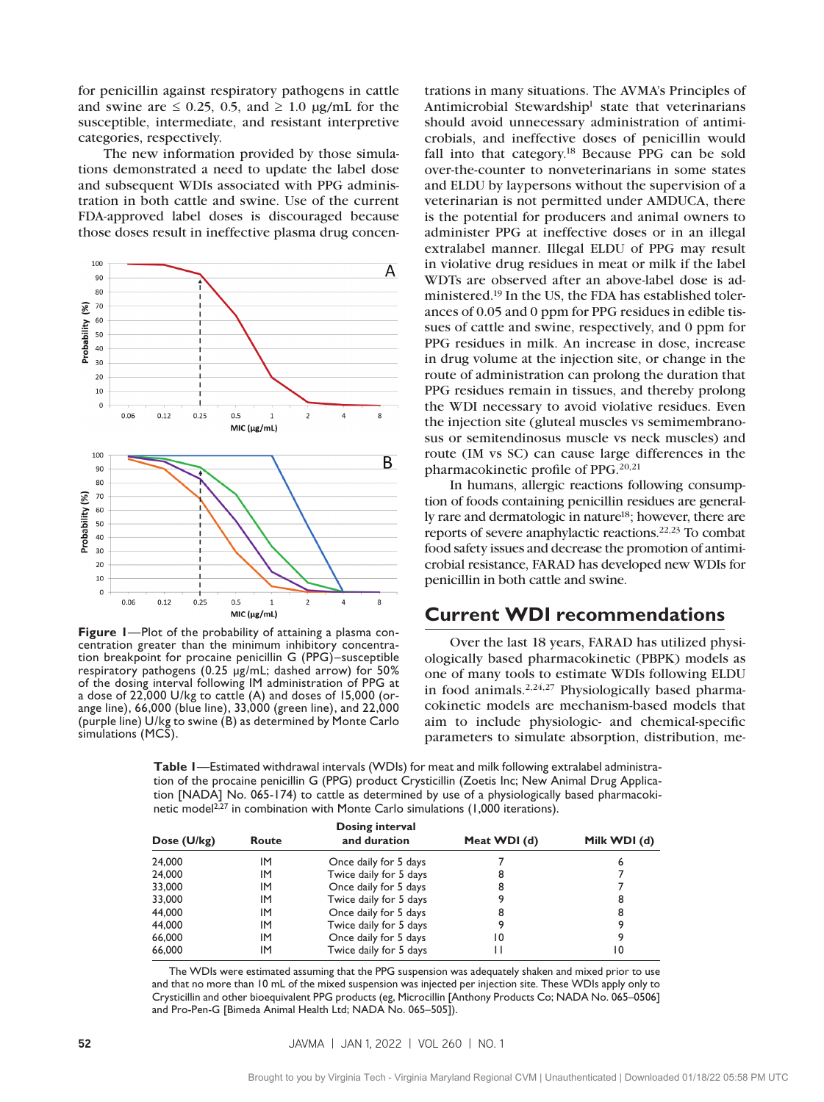for penicillin against respiratory pathogens in cattle and swine are  $\leq 0.25$ , 0.5, and  $\geq 1.0$  µg/mL for the susceptible, intermediate, and resistant interpretive categories, respectively.

The new information provided by those simulations demonstrated a need to update the label dose and subsequent WDIs associated with PPG administration in both cattle and swine. Use of the current FDA-approved label doses is discouraged because those doses result in ineffective plasma drug concen-



**Figure 1**—Plot of the probability of attaining a plasma concentration greater than the minimum inhibitory concentration breakpoint for procaine penicillin G (PPG)–susceptible respiratory pathogens (0.25 µg/mL; dashed arrow) for 50% of the dosing interval following IM administration of PPG at a dose of 22,000 U/kg to cattle (A) and doses of 15,000 (orange line), 66,000 (blue line), 33,000 (green line), and 22,000 (purple line) U/kg to swine (B) as determined by Monte Carlo simulations (MCS).

trations in many situations. The AVMA's Principles of Antimicrobial Stewardship<sup>1</sup> state that veterinarians should avoid unnecessary administration of antimicrobials, and ineffective doses of penicillin would fall into that category.<sup>18</sup> Because PPG can be sold over-the-counter to nonveterinarians in some states and ELDU by laypersons without the supervision of a veterinarian is not permitted under AMDUCA, there is the potential for producers and animal owners to administer PPG at ineffective doses or in an illegal extralabel manner. Illegal ELDU of PPG may result in violative drug residues in meat or milk if the label WDTs are observed after an above-label dose is administered.19 In the US, the FDA has established tolerances of 0.05 and 0 ppm for PPG residues in edible tissues of cattle and swine, respectively, and 0 ppm for PPG residues in milk. An increase in dose, increase in drug volume at the injection site, or change in the route of administration can prolong the duration that PPG residues remain in tissues, and thereby prolong the WDI necessary to avoid violative residues. Even the injection site (gluteal muscles vs semimembranosus or semitendinosus muscle vs neck muscles) and route (IM vs SC) can cause large differences in the pharmacokinetic profile of PPG.20,21

In humans, allergic reactions following consumption of foods containing penicillin residues are generally rare and dermatologic in nature<sup>18</sup>; however, there are reports of severe anaphylactic reactions.22,23 To combat food safety issues and decrease the promotion of antimicrobial resistance, FARAD has developed new WDIs for penicillin in both cattle and swine.

#### **Current WDI recommendations**

Over the last 18 years, FARAD has utilized physiologically based pharmacokinetic (PBPK) models as one of many tools to estimate WDIs following ELDU in food animals.2,24,27 Physiologically based pharmacokinetic models are mechanism-based models that aim to include physiologic- and chemical-specific parameters to simulate absorption, distribution, me-

**Table 1**—Estimated withdrawal intervals (WDIs) for meat and milk following extralabel administration of the procaine penicillin G (PPG) product Crysticillin (Zoetis Inc; New Animal Drug Application [NADA] No. 065-174) to cattle as determined by use of a physiologically based pharmacokinetic model<sup>2,27</sup> in combination with Monte Carlo simulations (1,000 iterations).

|             |       | Dosing interval        |              |              |
|-------------|-------|------------------------|--------------|--------------|
| Dose (U/kg) | Route | and duration           | Meat WDI (d) | Milk WDI (d) |
| 24,000      | IM    | Once daily for 5 days  |              | 6            |
| 24,000      | IM    | Twice daily for 5 days | 8            |              |
| 33,000      | IM    | Once daily for 5 days  | 8            |              |
| 33,000      | IM    | Twice daily for 5 days |              | 8            |
| 44,000      | IM    | Once daily for 5 days  | 8            | 8            |
| 44,000      | IM    | Twice daily for 5 days |              |              |
| 66,000      | IM    | Once daily for 5 days  | 10           |              |
| 66,000      | IM    | Twice daily for 5 days |              | 10           |

The WDIs were estimated assuming that the PPG suspension was adequately shaken and mixed prior to use and that no more than 10 mL of the mixed suspension was injected per injection site. These WDIs apply only to Crysticillin and other bioequivalent PPG products (eg, Microcillin [Anthony Products Co; NADA No. 065–0506] and Pro-Pen-G [Bimeda Animal Health Ltd; NADA No. 065–505]).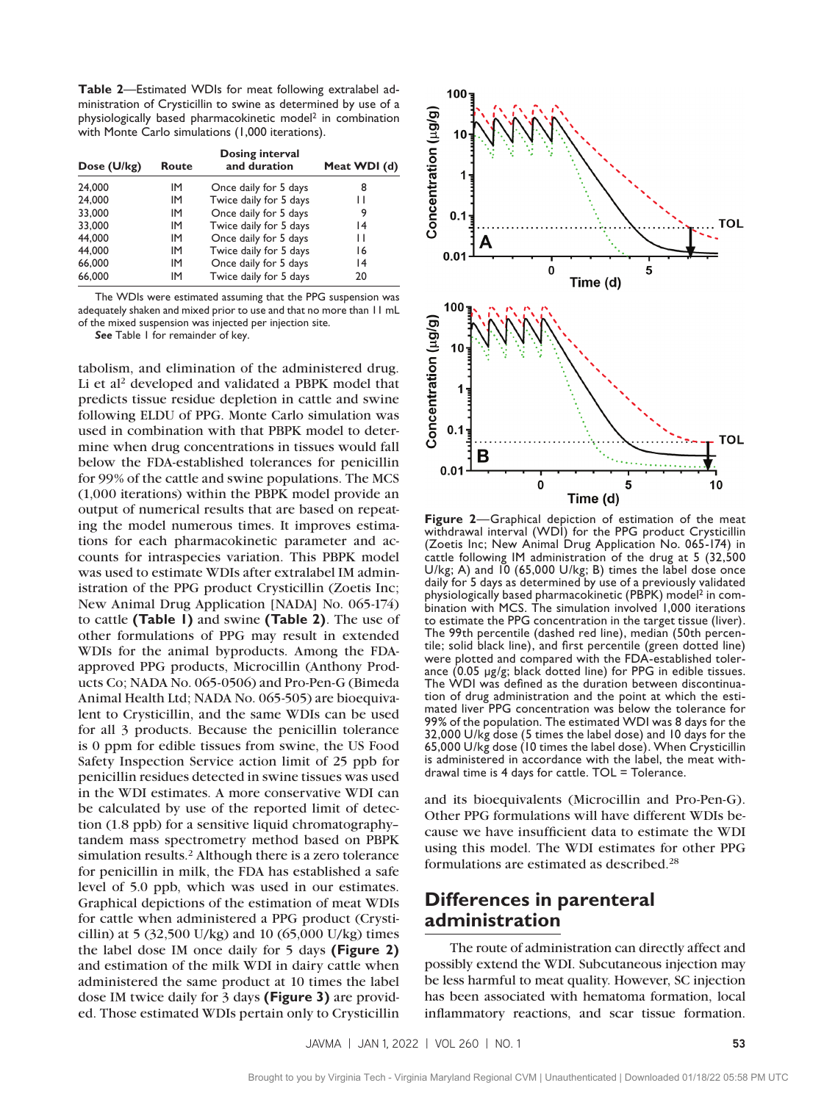**Table 2**—Estimated WDIs for meat following extralabel administration of Crysticillin to swine as determined by use of a physiologically based pharmacokinetic model2 in combination with Monte Carlo simulations (1,000 iterations).

| Dose (U/kg) | Route | Dosing interval<br>and duration | Meat WDI (d) |
|-------------|-------|---------------------------------|--------------|
| 24,000      | IM    | Once daily for 5 days           | 8            |
| 24,000      | IM    | Twice daily for 5 days          | Н            |
| 33,000      | IM    | Once daily for 5 days           | 9            |
| 33,000      | IM    | Twice daily for 5 days          | 14           |
| 44,000      | IM    | Once daily for 5 days           | Н            |
| 44,000      | IM    | Twice daily for 5 days          | 16           |
| 66,000      | IM    | Once daily for 5 days           | 14           |
| 66,000      | IM    | Twice daily for 5 days          | 20           |

The WDIs were estimated assuming that the PPG suspension was adequately shaken and mixed prior to use and that no more than 11 mL of the mixed suspension was injected per injection site.

*See* Table 1 for remainder of key.

tabolism, and elimination of the administered drug. Li et al<sup>2</sup> developed and validated a PBPK model that predicts tissue residue depletion in cattle and swine following ELDU of PPG. Monte Carlo simulation was used in combination with that PBPK model to determine when drug concentrations in tissues would fall below the FDA-established tolerances for penicillin for 99% of the cattle and swine populations. The MCS (1,000 iterations) within the PBPK model provide an output of numerical results that are based on repeating the model numerous times. It improves estimations for each pharmacokinetic parameter and accounts for intraspecies variation. This PBPK model was used to estimate WDIs after extralabel IM administration of the PPG product Crysticillin (Zoetis Inc; New Animal Drug Application [NADA] No. 065-174) to cattle **(Table 1)** and swine **(Table 2)**. The use of other formulations of PPG may result in extended WDIs for the animal byproducts. Among the FDAapproved PPG products, Microcillin (Anthony Products Co; NADA No. 065-0506) and Pro-Pen-G (Bimeda Animal Health Ltd; NADA No. 065-505) are bioequivalent to Crysticillin, and the same WDIs can be used for all 3 products. Because the penicillin tolerance is 0 ppm for edible tissues from swine, the US Food Safety Inspection Service action limit of 25 ppb for penicillin residues detected in swine tissues was used in the WDI estimates. A more conservative WDI can be calculated by use of the reported limit of detection (1.8 ppb) for a sensitive liquid chromatography– tandem mass spectrometry method based on PBPK simulation results.<sup>2</sup> Although there is a zero tolerance for penicillin in milk, the FDA has established a safe level of 5.0 ppb, which was used in our estimates. Graphical depictions of the estimation of meat WDIs for cattle when administered a PPG product (Crysticillin) at 5 (32,500 U/kg) and 10 (65,000 U/kg) times the label dose IM once daily for 5 days **(Figure 2)** and estimation of the milk WDI in dairy cattle when administered the same product at 10 times the label dose IM twice daily for 3 days **(Figure 3)** are provided. Those estimated WDIs pertain only to Crysticillin



**Figure 2**—Graphical depiction of estimation of the meat withdrawal interval (WDI) for the PPG product Crysticillin (Zoetis Inc; New Animal Drug Application No. 065-174) in cattle following IM administration of the drug at 5 (32,500 U/kg; A) and 10 (65,000 U/kg; B) times the label dose once daily for 5 days as determined by use of a previously validated<br>physiologically based pharmacokinetic (PBPK) model<sup>2</sup> in combination with MCS. The simulation involved 1,000 iterations to estimate the PPG concentration in the target tissue (liver). The 99th percentile (dashed red line), median (50th percen- tile; solid black line), and first percentile (green dotted line) were plotted and compared with the FDA-established toler-<br>ance (0.05 µg/g; black dotted line) for PPG in edible tissues.<br>The WDI was defined as the duration between discontinuation of drug administration and the point at which the estimated liver PPG concentration was below the tolerance for 99% of the population. The estimated WDI was 8 days for the 32,000 U/kg dose (5 times the label dose) and 10 days for the 65,000 U/kg dose (10 times the label dose). When Crysticillin is administered in accordance with the label, the meat withdrawal time is 4 days for cattle. TOL = Tolerance.

and its bioequivalents (Microcillin and Pro-Pen-G). Other PPG formulations will have different WDIs because we have insufficient data to estimate the WDI using this model. The WDI estimates for other PPG formulations are estimated as described.28

# **Differences in parenteral administration**

The route of administration can directly affect and possibly extend the WDI. Subcutaneous injection may be less harmful to meat quality. However, SC injection has been associated with hematoma formation, local inflammatory reactions, and scar tissue formation.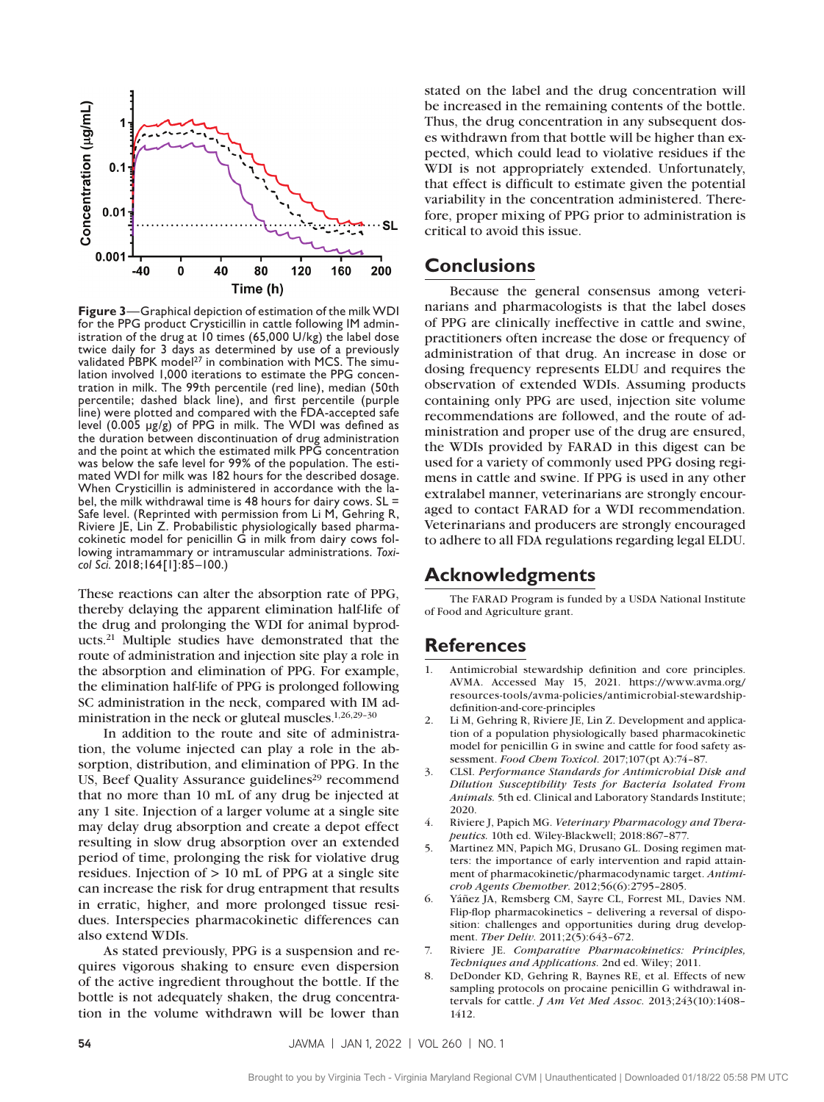

**Figure 3**—Graphical depiction of estimation of the milk WDI for the PPG product Crysticillin in cattle following IM administration of the drug at 10 times (65,000 U/kg) the label dose twice daily for 3 days as determined by use of a previously validated PBPK model<sup>27</sup> in combination with MCS. The simulation involved 1,000 iterations to estimate the PPG concentration in milk. The 99th percentile (red line), median (50th percentile; dashed black line), and first percentile (purple line) were plotted and compared with the FDA-accepted safe level (0.005 µg/g) of PPG in milk. The WDI was defined as the duration between discontinuation of drug administration and the point at which the estimated milk PPG concentration was below the safe level for 99% of the population. The estimated WDI for milk was 182 hours for the described dosage. When Crysticillin is administered in accordance with the label, the milk withdrawal time is 48 hours for dairy cows. SL = Safe level. (Reprinted with permission from Li M, Gehring R, Riviere JE, Lin Z. Probabilistic physiologically based pharmacokinetic model for penicillin G in milk from dairy cows following intramammary or intramuscular administrations. *Toxicol Sci.* 2018;164[1]:85–100.)

These reactions can alter the absorption rate of PPG, thereby delaying the apparent elimination half-life of the drug and prolonging the WDI for animal byproducts.21 Multiple studies have demonstrated that the route of administration and injection site play a role in the absorption and elimination of PPG. For example, the elimination half-life of PPG is prolonged following SC administration in the neck, compared with IM administration in the neck or gluteal muscles.1,26,29–30

In addition to the route and site of administration, the volume injected can play a role in the absorption, distribution, and elimination of PPG. In the US, Beef Quality Assurance guidelines<sup>29</sup> recommend that no more than 10 mL of any drug be injected at any 1 site. Injection of a larger volume at a single site may delay drug absorption and create a depot effect resulting in slow drug absorption over an extended period of time, prolonging the risk for violative drug residues. Injection of  $> 10$  mL of PPG at a single site can increase the risk for drug entrapment that results in erratic, higher, and more prolonged tissue residues. Interspecies pharmacokinetic differences can also extend WDIs.

As stated previously, PPG is a suspension and requires vigorous shaking to ensure even dispersion of the active ingredient throughout the bottle. If the bottle is not adequately shaken, the drug concentration in the volume withdrawn will be lower than

stated on the label and the drug concentration will be increased in the remaining contents of the bottle. Thus, the drug concentration in any subsequent doses withdrawn from that bottle will be higher than expected, which could lead to violative residues if the WDI is not appropriately extended. Unfortunately, that effect is difficult to estimate given the potential variability in the concentration administered. Therefore, proper mixing of PPG prior to administration is critical to avoid this issue.

#### **Conclusions**

Because the general consensus among veterinarians and pharmacologists is that the label doses of PPG are clinically ineffective in cattle and swine, practitioners often increase the dose or frequency of administration of that drug. An increase in dose or dosing frequency represents ELDU and requires the observation of extended WDIs. Assuming products containing only PPG are used, injection site volume recommendations are followed, and the route of administration and proper use of the drug are ensured, the WDIs provided by FARAD in this digest can be used for a variety of commonly used PPG dosing regimens in cattle and swine. If PPG is used in any other extralabel manner, veterinarians are strongly encouraged to contact FARAD for a WDI recommendation. Veterinarians and producers are strongly encouraged to adhere to all FDA regulations regarding legal ELDU.

#### **Acknowledgments**

The FARAD Program is funded by a USDA National Institute of Food and Agriculture grant.

## **References**

- 1. Antimicrobial stewardship definition and core principles. AVMA. Accessed May 15, 2021. https://www.avma.org/ resources-tools/avma-policies/antimicrobial-stewardshipdefinition-and-core-principles
- 2. Li M, Gehring R, Riviere JE, Lin Z. Development and application of a population physiologically based pharmacokinetic model for penicillin G in swine and cattle for food safety assessment. *Food Chem Toxicol*. 2017;107(pt A):74–87.
- 3. CLSI. *Performance Standards for Antimicrobial Disk and Dilution Susceptibility Tests for Bacteria Isolated From Animals.* 5th ed. Clinical and Laboratory Standards Institute; 2020.
- 4. Riviere J, Papich MG. *Veterinary Pharmacology and Therapeutics.* 10th ed. Wiley-Blackwell; 2018:867–877.
- 5. Martinez MN, Papich MG, Drusano GL. Dosing regimen matters: the importance of early intervention and rapid attainment of pharmacokinetic/pharmacodynamic target. *Antimicrob Agents Chemother*. 2012;56(6):2795–2805.
- 6. Yáñez JA, Remsberg CM, Sayre CL, Forrest ML, Davies NM. Flip-flop pharmacokinetics – delivering a reversal of disposition: challenges and opportunities during drug development. *Ther Deliv*. 2011;2(5):643–672.
- 7. Riviere JE. *Comparative Pharmacokinetics: Principles, Techniques and Applications*. 2nd ed. Wiley; 2011.
- DeDonder KD, Gehring R, Baynes RE, et al. Effects of new sampling protocols on procaine penicillin G withdrawal intervals for cattle. *J Am Vet Med Assoc*. 2013;243(10):1408– 1412.